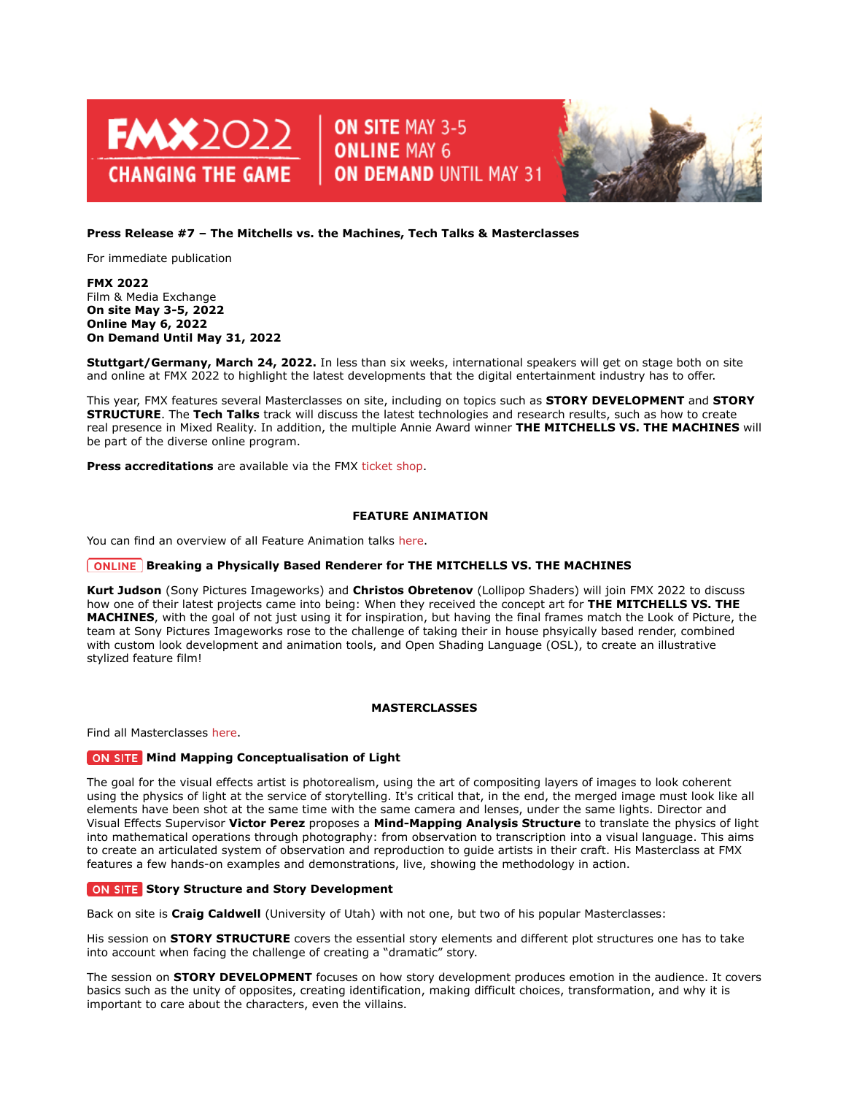

# ON SITE MAY 3-5 **ONLINE MAY 6 ON DEMAND UNTIL MAY 31**



# **Press Release #7 – The Mitchells vs. the Machines, Tech Talks & Masterclasses**

For immediate publication

## **FMX 2022** Film & Media Exchange **On site May 3-5, 2022 Online May 6, 2022 On Demand Until May 31, 2022**

**Stuttgart/Germany, March 24, 2022.** In less than six weeks, international speakers will get on stage both on site and online at FMX 2022 to highlight the latest developments that the digital entertainment industry has to offer.

This year, FMX features several Masterclasses on site, including on topics such as **STORY DEVELOPMENT** and **STORY STRUCTURE**. The **Tech Talks** track will discuss the latest technologies and research results, such as how to create real presence in Mixed Reality. In addition, the multiple Annie Award winner **THE MITCHELLS VS. THE MACHINES** will be part of the diverse online program.

**Press accreditations** are available via the FMX [ticket shop.](https://www.xing-events.com/FMX2022.html)

## **FEATURE ANIMATION**

You can find an overview of all Feature Animation talks [here.](https://fmx.de/en/program-2022/list?t=1425)

## **ONLINE** Breaking a Physically Based Renderer for THE MITCHELLS VS. THE MACHINES

**Kurt Judson** (Sony Pictures Imageworks) and **Christos Obretenov** (Lollipop Shaders) will join FMX 2022 to discuss how one of their latest projects came into being: When they received the concept art for **THE MITCHELLS VS. THE MACHINES**, with the goal of not just using it for inspiration, but having the final frames match the Look of Picture, the team at Sony Pictures Imageworks rose to the challenge of taking their in house phsyically based render, combined with custom look development and animation tools, and Open Shading Language (OSL), to create an illustrative stylized feature film!

## **MASTERCLASSES**

Find all Masterclasses [here.](https://fmx.de/en/program-2022/list?t=1419)

# **MIND MIND MEDIA MAPPING CONCEPTED AT A LIGHT**

The goal for the visual effects artist is photorealism, using the art of compositing layers of images to look coherent using the physics of light at the service of storytelling. It's critical that, in the end, the merged image must look like all elements have been shot at the same time with the same camera and lenses, under the same lights. Director and Visual Effects Supervisor **Victor Perez** proposes a **Mind-Mapping Analysis Structure** to translate the physics of light into mathematical operations through photography: from observation to transcription into a visual language. This aims to create an articulated system of observation and reproduction to guide artists in their craft. His Masterclass at FMX features a few hands-on examples and demonstrations, live, showing the methodology in action.

## **ON SITE Story Structure and Story Development**

Back on site is **Craig Caldwell** (University of Utah) with not one, but two of his popular Masterclasses:

His session on **STORY STRUCTURE** covers the essential story elements and different plot structures one has to take into account when facing the challenge of creating a "dramatic" story.

The session on **STORY DEVELOPMENT** focuses on how story development produces emotion in the audience. It covers basics such as the unity of opposites, creating identification, making difficult choices, transformation, and why it is important to care about the characters, even the villains.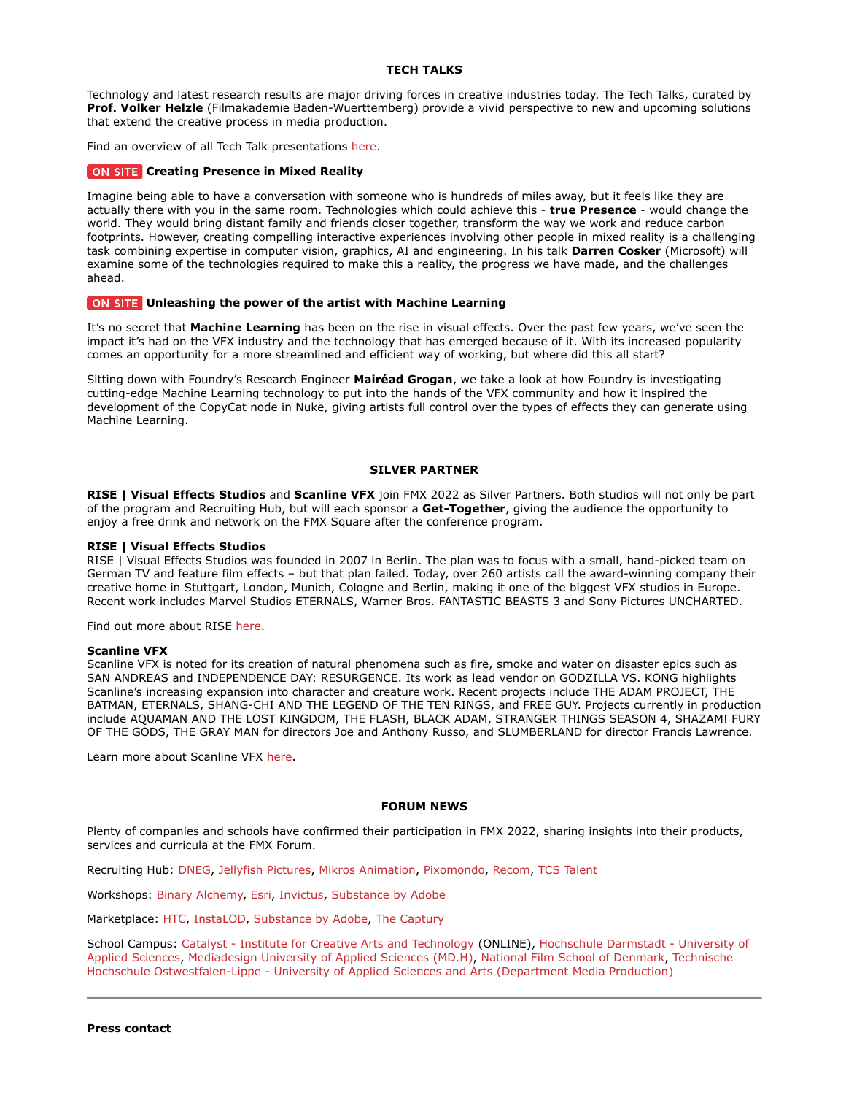## **TECH TALKS**

Technology and latest research results are major driving forces in creative industries today. The Tech Talks, curated by **Prof. Volker Helzle** (Filmakademie Baden-Wuerttemberg) provide a vivid perspective to new and upcoming solutions that extend the creative process in media production.

Find an overview of all Tech Talk presentations [here.](https://fmx.de/en/program-2022/list?t=1433)

#### **CITE Creating Presence in Mixed Reality**

Imagine being able to have a conversation with someone who is hundreds of miles away, but it feels like they are actually there with you in the same room. Technologies which could achieve this - **true Presence** - would change the world. They would bring distant family and friends closer together, transform the way we work and reduce carbon footprints. However, creating compelling interactive experiences involving other people in mixed reality is a challenging task combining expertise in computer vision, graphics, AI and engineering. In his talk **Darren Cosker** (Microsoft) will examine some of the technologies required to make this a reality, the progress we have made, and the challenges ahead.

## **ON SITE** Unleashing the power of the artist with Machine Learning

It's no secret that **Machine Learning** has been on the rise in visual effects. Over the past few years, we've seen the impact it's had on the VFX industry and the technology that has emerged because of it. With its increased popularity comes an opportunity for a more streamlined and efficient way of working, but where did this all start?

Sitting down with Foundry's Research Engineer **Mairéad Grogan**, we take a look at how Foundry is investigating cutting-edge Machine Learning technology to put into the hands of the VFX community and how it inspired the development of the CopyCat node in Nuke, giving artists full control over the types of effects they can generate using Machine Learning.

#### **SILVER PARTNER**

**RISE | Visual Effects Studios** and **Scanline VFX** join FMX 2022 as Silver Partners. Both studios will not only be part of the program and Recruiting Hub, but will each sponsor a **Get-Together**, giving the audience the opportunity to enjoy a free drink and network on the FMX Square after the conference program.

#### **RISE | Visual Effects Studios**

RISE | Visual Effects Studios was founded in 2007 in Berlin. The plan was to focus with a small, hand-picked team on German TV and feature film effects – but that plan failed. Today, over 260 artists call the award-winning company their creative home in Stuttgart, London, Munich, Cologne and Berlin, making it one of the biggest VFX studios in Europe. Recent work includes Marvel Studios ETERNALS, Warner Bros. FANTASTIC BEASTS 3 and Sony Pictures UNCHARTED.

Find out more about RISE [here.](https://www.risefx.com/)

#### **Scanline VFX**

Scanline VFX is noted for its creation of natural phenomena such as fire, smoke and water on disaster epics such as SAN ANDREAS and INDEPENDENCE DAY: RESURGENCE. Its work as lead vendor on GODZILLA VS. KONG highlights Scanline's increasing expansion into character and creature work. Recent projects include THE ADAM PROJECT, THE BATMAN, ETERNALS, SHANG-CHI AND THE LEGEND OF THE TEN RINGS, and FREE GUY. Projects currently in production include AQUAMAN AND THE LOST KINGDOM, THE FLASH, BLACK ADAM, STRANGER THINGS SEASON 4, SHAZAM! FURY OF THE GODS, THE GRAY MAN for directors Joe and Anthony Russo, and SLUMBERLAND for director Francis Lawrence.

Learn more about Scanline VFX [here.](https://www.scanlinevfx.com/)

#### **FORUM NEWS**

Plenty of companies and schools have confirmed their participation in FMX 2022, sharing insights into their products, services and curricula at the FMX Forum.

Recruiting Hub: [DNEG,](https://www.dneg.com/) [Jellyfish Pictures,](https://hr.jellyfishpictures.co.uk/) [Mikros Animation,](https://www.mikrosanimation.com/) [Pixomondo,](https://www.pixomondo.com/) [Recom,](https://www.recom.de/en/portfolio#ALL) [TCS Talent](https://www.tcstalent.com/) 

Workshops: [Binary Alchemy,](https://www.binaryalchemy.de/) [Esri,](https://www.esri.com/en-us/home) [Invictus,](https://invictusproject.eu/) [Substance by Adobe](https://www.adobe.com/products/substance3d/3d-augmented-reality.html)

Marketplace: [HTC,](https://www.htc.com/) [InstaLOD,](https://instalod.com/) [Substance by Adobe,](https://www.adobe.com/products/substance3d/3d-augmented-reality.html) [The Captury](https://captury.com/) 

School Campus: [Catalyst - Institute for Creative Arts and Technology](https://catalyst-berlin.com/film) (ONLINE), [Hochschule Darmstadt - University of](https://h-da.de/en/) [Applied Sciences,](https://h-da.de/en/) [Mediadesign University of Applied Sciences \(MD.H\),](https://en.mediadesign.de/) [National Film School of Denmark,](https://www.filmskolen.dk/english) [Technische](https://www.th-owl.de/medienproduktion/) [Hochschule Ostwestfalen-Lippe - University of Applied Sciences and Arts \(Department Media Production\)](https://www.th-owl.de/medienproduktion/)